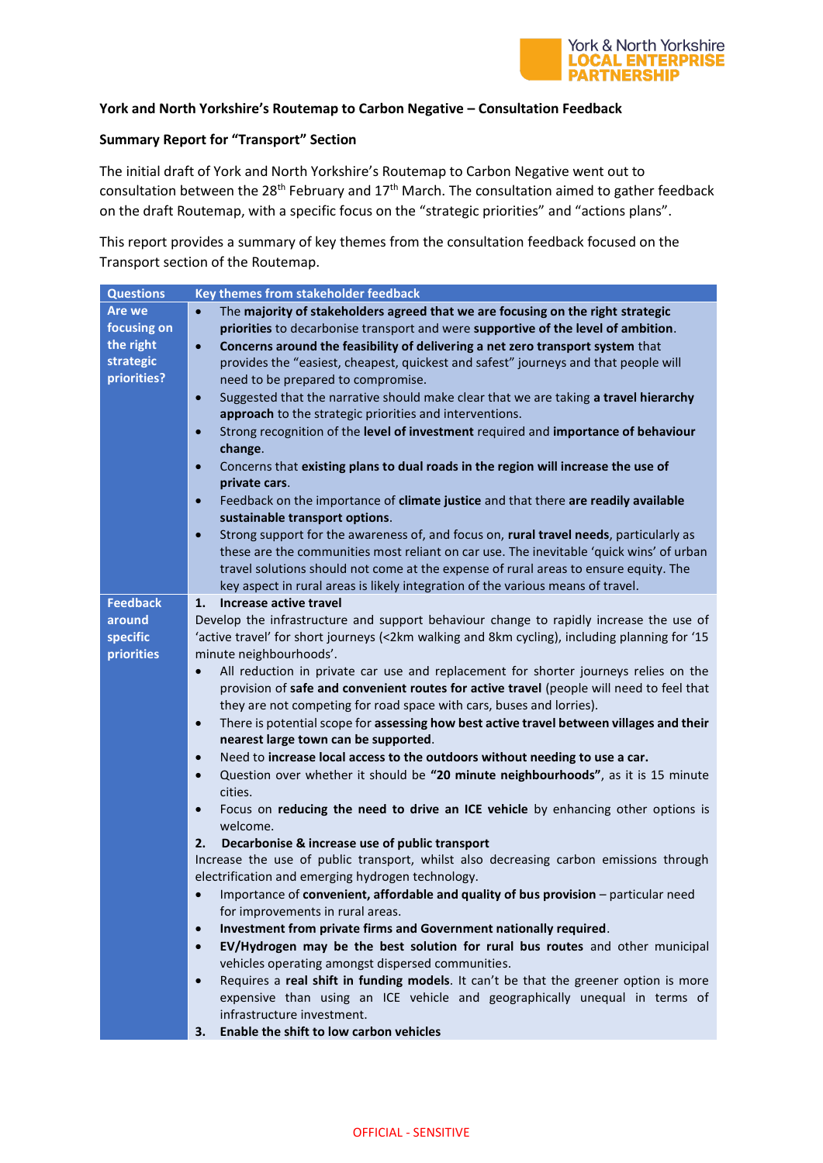

## **York and North Yorkshire's Routemap to Carbon Negative – Consultation Feedback**

## **Summary Report for "Transport" Section**

The initial draft of York and North Yorkshire's Routemap to Carbon Negative went out to consultation between the 28<sup>th</sup> February and  $17<sup>th</sup>$  March. The consultation aimed to gather feedback on the draft Routemap, with a specific focus on the "strategic priorities" and "actions plans".

This report provides a summary of key themes from the consultation feedback focused on the Transport section of the Routemap.

| <b>Questions</b> | Key themes from stakeholder feedback                                                                  |
|------------------|-------------------------------------------------------------------------------------------------------|
| Are we           | The majority of stakeholders agreed that we are focusing on the right strategic<br>$\bullet$          |
| focusing on      | priorities to decarbonise transport and were supportive of the level of ambition.                     |
| the right        | Concerns around the feasibility of delivering a net zero transport system that<br>$\bullet$           |
| strategic        | provides the "easiest, cheapest, quickest and safest" journeys and that people will                   |
| priorities?      | need to be prepared to compromise.                                                                    |
|                  | Suggested that the narrative should make clear that we are taking a travel hierarchy<br>$\bullet$     |
|                  | approach to the strategic priorities and interventions.                                               |
|                  | Strong recognition of the level of investment required and importance of behaviour<br>$\bullet$       |
|                  | change.                                                                                               |
|                  | Concerns that existing plans to dual roads in the region will increase the use of<br>$\bullet$        |
|                  | private cars.                                                                                         |
|                  | Feedback on the importance of climate justice and that there are readily available<br>$\bullet$       |
|                  | sustainable transport options.                                                                        |
|                  | Strong support for the awareness of, and focus on, rural travel needs, particularly as<br>$\bullet$   |
|                  | these are the communities most reliant on car use. The inevitable 'quick wins' of urban               |
|                  | travel solutions should not come at the expense of rural areas to ensure equity. The                  |
|                  | key aspect in rural areas is likely integration of the various means of travel.                       |
| <b>Feedback</b>  | Increase active travel<br>1.                                                                          |
| around           | Develop the infrastructure and support behaviour change to rapidly increase the use of                |
| specific         | 'active travel' for short journeys (<2km walking and 8km cycling), including planning for '15         |
| priorities       | minute neighbourhoods'.                                                                               |
|                  | All reduction in private car use and replacement for shorter journeys relies on the<br>$\bullet$      |
|                  | provision of safe and convenient routes for active travel (people will need to feel that              |
|                  | they are not competing for road space with cars, buses and lorries).                                  |
|                  | There is potential scope for assessing how best active travel between villages and their<br>$\bullet$ |
|                  | nearest large town can be supported.                                                                  |
|                  | Need to increase local access to the outdoors without needing to use a car.<br>$\bullet$              |
|                  | Question over whether it should be "20 minute neighbourhoods", as it is 15 minute<br>$\bullet$        |
|                  | cities.                                                                                               |
|                  | Focus on reducing the need to drive an ICE vehicle by enhancing other options is<br>$\bullet$         |
|                  | welcome.                                                                                              |
|                  | Decarbonise & increase use of public transport<br>2.                                                  |
|                  | Increase the use of public transport, whilst also decreasing carbon emissions through                 |
|                  | electrification and emerging hydrogen technology.                                                     |
|                  | Importance of convenient, affordable and quality of bus provision - particular need<br>$\bullet$      |
|                  | for improvements in rural areas.                                                                      |
|                  | Investment from private firms and Government nationally required.<br>$\bullet$                        |
|                  | EV/Hydrogen may be the best solution for rural bus routes and other municipal<br>$\bullet$            |
|                  | vehicles operating amongst dispersed communities.                                                     |
|                  | Requires a real shift in funding models. It can't be that the greener option is more<br>$\bullet$     |
|                  | expensive than using an ICE vehicle and geographically unequal in terms of                            |
|                  | infrastructure investment.                                                                            |
|                  | Enable the shift to low carbon vehicles<br>З.                                                         |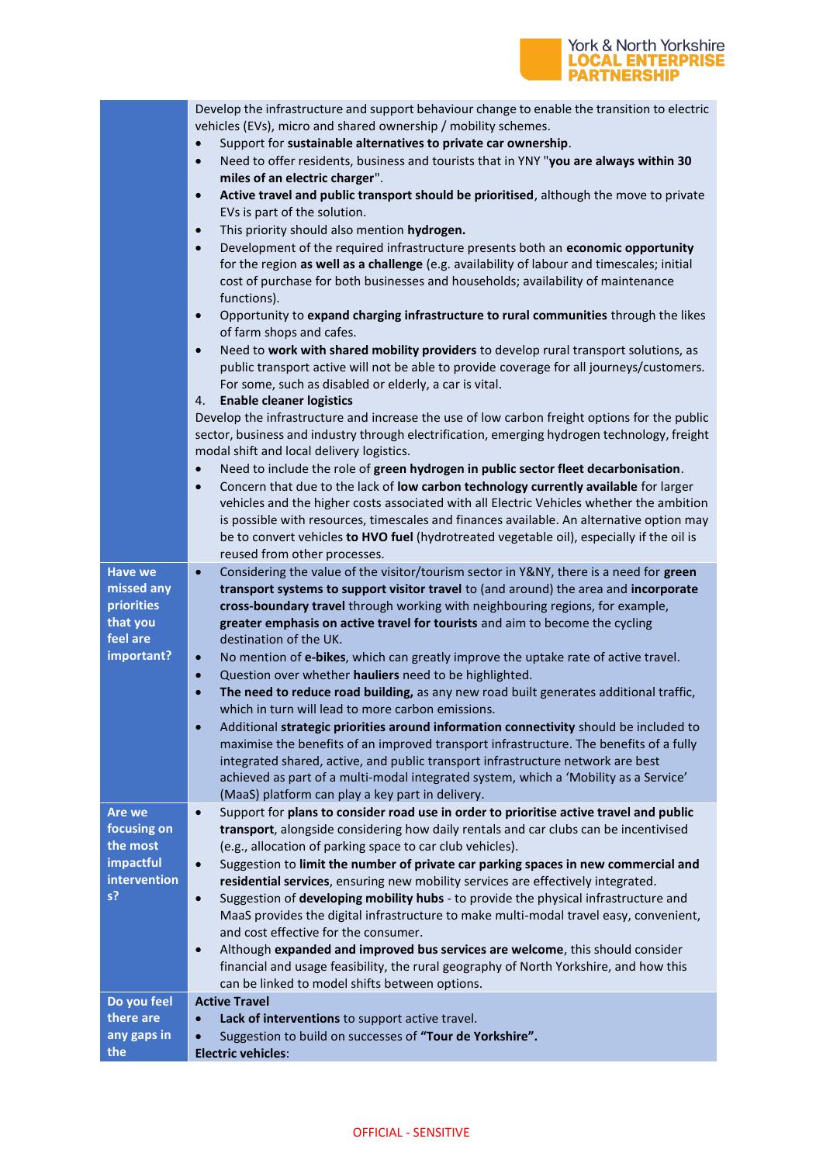

|                | Develop the infrastructure and support behaviour change to enable the transition to electric                                                                                                 |
|----------------|----------------------------------------------------------------------------------------------------------------------------------------------------------------------------------------------|
|                | vehicles (EVs), micro and shared ownership / mobility schemes.                                                                                                                               |
|                | Support for sustainable alternatives to private car ownership.                                                                                                                               |
|                | Need to offer residents, business and tourists that in YNY "you are always within 30<br>$\bullet$<br>miles of an electric charger".                                                          |
|                | Active travel and public transport should be prioritised, although the move to private<br>$\bullet$                                                                                          |
|                | EVs is part of the solution.                                                                                                                                                                 |
|                | This priority should also mention hydrogen.<br>$\bullet$                                                                                                                                     |
|                | Development of the required infrastructure presents both an economic opportunity<br>$\bullet$                                                                                                |
|                | for the region as well as a challenge (e.g. availability of labour and timescales; initial                                                                                                   |
|                | cost of purchase for both businesses and households; availability of maintenance                                                                                                             |
|                | functions).                                                                                                                                                                                  |
|                | Opportunity to expand charging infrastructure to rural communities through the likes<br>$\bullet$                                                                                            |
|                | of farm shops and cafes.                                                                                                                                                                     |
|                | Need to work with shared mobility providers to develop rural transport solutions, as<br>$\bullet$                                                                                            |
|                | public transport active will not be able to provide coverage for all journeys/customers.<br>For some, such as disabled or elderly, a car is vital.                                           |
|                | <b>Enable cleaner logistics</b><br>4.                                                                                                                                                        |
|                | Develop the infrastructure and increase the use of low carbon freight options for the public                                                                                                 |
|                | sector, business and industry through electrification, emerging hydrogen technology, freight                                                                                                 |
|                | modal shift and local delivery logistics.                                                                                                                                                    |
|                | Need to include the role of green hydrogen in public sector fleet decarbonisation.                                                                                                           |
|                | Concern that due to the lack of low carbon technology currently available for larger                                                                                                         |
|                | vehicles and the higher costs associated with all Electric Vehicles whether the ambition                                                                                                     |
|                | is possible with resources, timescales and finances available. An alternative option may                                                                                                     |
|                | be to convert vehicles to HVO fuel (hydrotreated vegetable oil), especially if the oil is                                                                                                    |
| <b>Have we</b> | reused from other processes.<br>Considering the value of the visitor/tourism sector in Y&NY, there is a need for green<br>$\bullet$                                                          |
| missed any     | transport systems to support visitor travel to (and around) the area and incorporate                                                                                                         |
| priorities     | cross-boundary travel through working with neighbouring regions, for example,                                                                                                                |
| that you       | greater emphasis on active travel for tourists and aim to become the cycling                                                                                                                 |
| feel are       | destination of the UK.                                                                                                                                                                       |
| important?     | No mention of e-bikes, which can greatly improve the uptake rate of active travel.<br>$\bullet$                                                                                              |
|                | Question over whether hauliers need to be highlighted.<br>$\bullet$                                                                                                                          |
|                | The need to reduce road building, as any new road built generates additional traffic,<br>$\bullet$                                                                                           |
|                | which in turn will lead to more carbon emissions.                                                                                                                                            |
|                | Additional strategic priorities around information connectivity should be included to<br>$\bullet$<br>maximise the benefits of an improved transport infrastructure. The benefits of a fully |
|                | integrated shared, active, and public transport infrastructure network are best                                                                                                              |
|                | achieved as part of a multi-modal integrated system, which a 'Mobility as a Service'                                                                                                         |
|                | (MaaS) platform can play a key part in delivery.                                                                                                                                             |
| Are we         | Support for plans to consider road use in order to prioritise active travel and public<br>$\bullet$                                                                                          |
| focusing on    | transport, alongside considering how daily rentals and car clubs can be incentivised                                                                                                         |
| the most       |                                                                                                                                                                                              |
|                | (e.g., allocation of parking space to car club vehicles).                                                                                                                                    |
| impactful      | Suggestion to limit the number of private car parking spaces in new commercial and<br>$\bullet$                                                                                              |
| intervention   | residential services, ensuring new mobility services are effectively integrated.                                                                                                             |
| $s$ ?          | Suggestion of developing mobility hubs - to provide the physical infrastructure and<br>$\bullet$                                                                                             |
|                | MaaS provides the digital infrastructure to make multi-modal travel easy, convenient,                                                                                                        |
|                | and cost effective for the consumer.                                                                                                                                                         |
|                | Although expanded and improved bus services are welcome, this should consider<br>$\bullet$                                                                                                   |
|                | financial and usage feasibility, the rural geography of North Yorkshire, and how this<br>can be linked to model shifts between options.                                                      |
| Do you feel    | <b>Active Travel</b>                                                                                                                                                                         |
| there are      | Lack of interventions to support active travel.                                                                                                                                              |
| any gaps in    | Suggestion to build on successes of "Tour de Yorkshire".                                                                                                                                     |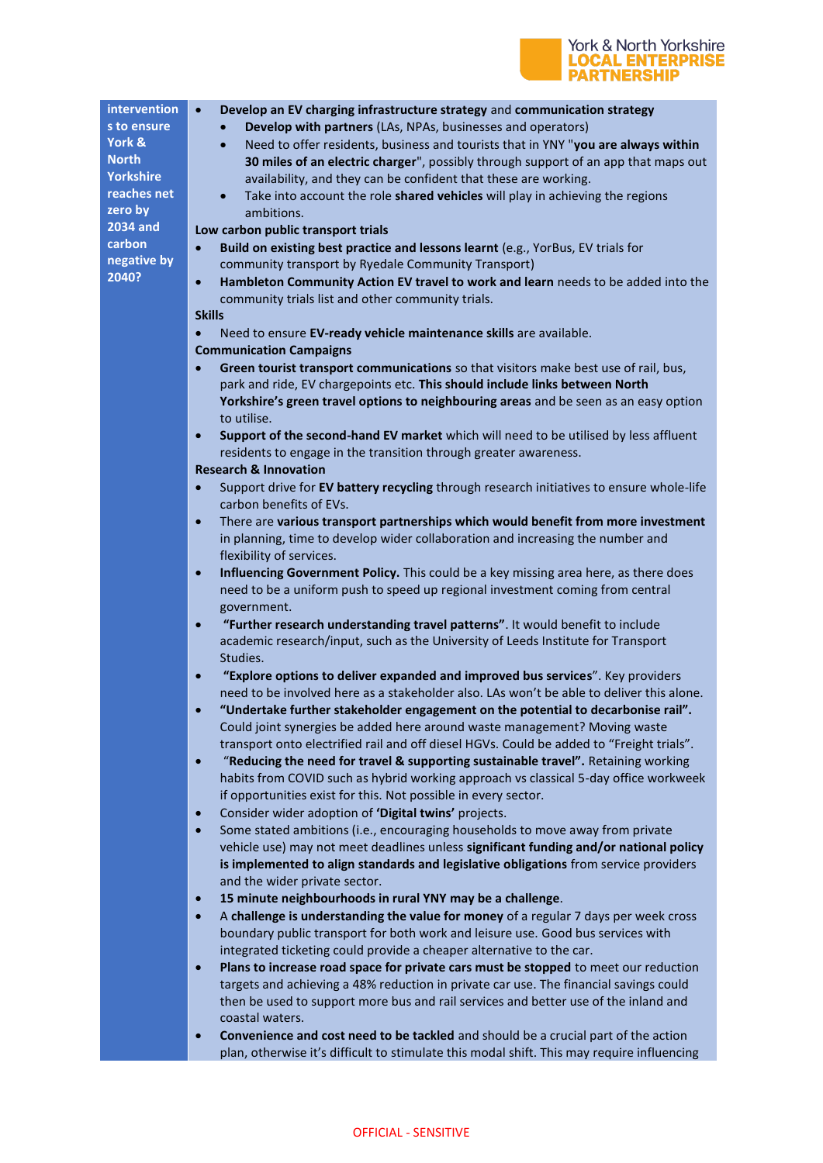## **York & North Yorkshire<br>LOCAL ENTERPRISE<br>PARTNERSHIP**

| <b>intervention</b> | Develop an EV charging infrastructure strategy and communication strategy<br>$\bullet$                                                                                                    |
|---------------------|-------------------------------------------------------------------------------------------------------------------------------------------------------------------------------------------|
| s to ensure         | Develop with partners (LAs, NPAs, businesses and operators)                                                                                                                               |
| York &              | Need to offer residents, business and tourists that in YNY "you are always within<br>$\bullet$                                                                                            |
| <b>North</b>        | 30 miles of an electric charger", possibly through support of an app that maps out                                                                                                        |
| Yorkshire           | availability, and they can be confident that these are working.                                                                                                                           |
| reaches net         | Take into account the role shared vehicles will play in achieving the regions<br>$\bullet$                                                                                                |
| zero by             | ambitions.                                                                                                                                                                                |
| <b>2034 and</b>     | Low carbon public transport trials                                                                                                                                                        |
| carbon              | Build on existing best practice and lessons learnt (e.g., YorBus, EV trials for<br>$\bullet$                                                                                              |
| negative by         | community transport by Ryedale Community Transport)                                                                                                                                       |
| 2040?               | Hambleton Community Action EV travel to work and learn needs to be added into the<br>$\bullet$                                                                                            |
|                     | community trials list and other community trials.                                                                                                                                         |
|                     | <b>Skills</b>                                                                                                                                                                             |
|                     | Need to ensure EV-ready vehicle maintenance skills are available.<br>$\bullet$                                                                                                            |
|                     | <b>Communication Campaigns</b>                                                                                                                                                            |
|                     | Green tourist transport communications so that visitors make best use of rail, bus,                                                                                                       |
|                     | park and ride, EV chargepoints etc. This should include links between North                                                                                                               |
|                     | Yorkshire's green travel options to neighbouring areas and be seen as an easy option                                                                                                      |
|                     | to utilise.                                                                                                                                                                               |
|                     | Support of the second-hand EV market which will need to be utilised by less affluent<br>$\bullet$                                                                                         |
|                     | residents to engage in the transition through greater awareness.                                                                                                                          |
|                     | <b>Research &amp; Innovation</b>                                                                                                                                                          |
|                     | Support drive for EV battery recycling through research initiatives to ensure whole-life<br>$\bullet$                                                                                     |
|                     | carbon benefits of EVs.                                                                                                                                                                   |
|                     | There are various transport partnerships which would benefit from more investment<br>$\bullet$                                                                                            |
|                     | in planning, time to develop wider collaboration and increasing the number and                                                                                                            |
|                     | flexibility of services.                                                                                                                                                                  |
|                     | Influencing Government Policy. This could be a key missing area here, as there does<br>$\bullet$                                                                                          |
|                     | need to be a uniform push to speed up regional investment coming from central                                                                                                             |
|                     | government.                                                                                                                                                                               |
|                     | "Further research understanding travel patterns". It would benefit to include<br>$\bullet$                                                                                                |
|                     | academic research/input, such as the University of Leeds Institute for Transport                                                                                                          |
|                     | Studies.                                                                                                                                                                                  |
|                     | "Explore options to deliver expanded and improved bus services". Key providers<br>$\bullet$                                                                                               |
|                     | need to be involved here as a stakeholder also. LAs won't be able to deliver this alone.                                                                                                  |
|                     | "Undertake further stakeholder engagement on the potential to decarbonise rail".<br>$\bullet$                                                                                             |
|                     | Could joint synergies be added here around waste management? Moving waste                                                                                                                 |
|                     | transport onto electrified rail and off diesel HGVs. Could be added to "Freight trials".                                                                                                  |
|                     | "Reducing the need for travel & supporting sustainable travel". Retaining working<br>$\bullet$                                                                                            |
|                     | habits from COVID such as hybrid working approach vs classical 5-day office workweek                                                                                                      |
|                     | if opportunities exist for this. Not possible in every sector.                                                                                                                            |
|                     | Consider wider adoption of 'Digital twins' projects.<br>$\bullet$                                                                                                                         |
|                     | Some stated ambitions (i.e., encouraging households to move away from private<br>$\bullet$                                                                                                |
|                     | vehicle use) may not meet deadlines unless significant funding and/or national policy                                                                                                     |
|                     | is implemented to align standards and legislative obligations from service providers                                                                                                      |
|                     | and the wider private sector.                                                                                                                                                             |
|                     | 15 minute neighbourhoods in rural YNY may be a challenge.<br>$\bullet$                                                                                                                    |
|                     | A challenge is understanding the value for money of a regular 7 days per week cross<br>$\bullet$                                                                                          |
|                     | boundary public transport for both work and leisure use. Good bus services with                                                                                                           |
|                     | integrated ticketing could provide a cheaper alternative to the car.                                                                                                                      |
|                     | Plans to increase road space for private cars must be stopped to meet our reduction<br>$\bullet$<br>targets and achieving a 48% reduction in private car use. The financial savings could |
|                     |                                                                                                                                                                                           |
|                     | then be used to support more bus and rail services and better use of the inland and<br>coastal waters.                                                                                    |
|                     | Convenience and cost need to be tackled and should be a crucial part of the action<br>$\bullet$                                                                                           |
|                     | plan, otherwise it's difficult to stimulate this modal shift. This may require influencing                                                                                                |
|                     |                                                                                                                                                                                           |